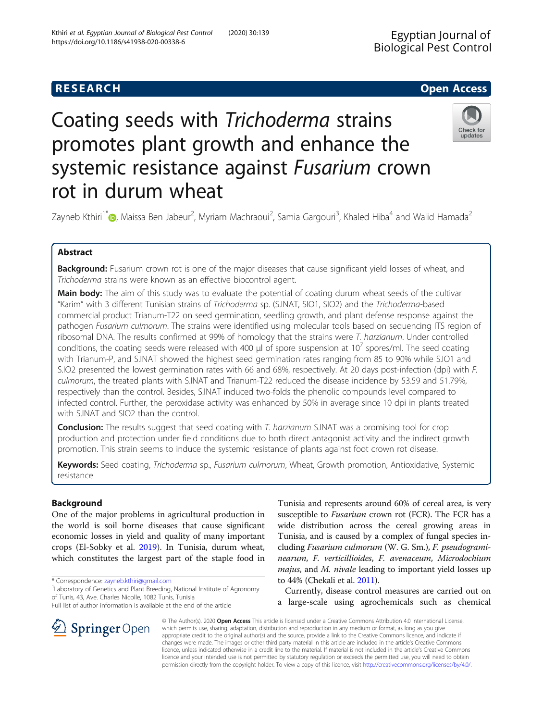## **RESEARCH CHE Open Access**

# Coating seeds with Trichoderma strains promotes plant growth and enhance the systemic resistance against Fusarium crown rot in durum wheat



Zayneb Kthiri<sup>1\*</sup>�[,](https://orcid.org/0000-0001-5020-6320) Maissa Ben Jabeur<sup>2</sup>, Myriam Machraoui<sup>2</sup>, Samia Gargouri<sup>3</sup>, Khaled Hiba<sup>4</sup> and Walid Hamada<sup>2</sup>

## Abstract

Background: Fusarium crown rot is one of the major diseases that cause significant yield losses of wheat, and Trichoderma strains were known as an effective biocontrol agent.

Main body: The aim of this study was to evaluate the potential of coating durum wheat seeds of the cultivar "Karim" with 3 different Tunisian strains of Trichoderma sp. (S.INAT, SIO1, SIO2) and the Trichoderma-based commercial product Trianum-T22 on seed germination, seedling growth, and plant defense response against the pathogen Fusarium culmorum. The strains were identified using molecular tools based on sequencing ITS region of ribosomal DNA. The results confirmed at 99% of homology that the strains were T. harzianum. Under controlled conditions, the coating seeds were released with 400  $\mu$  of spore suspension at 10<sup> $\prime$ </sup> spores/ml. The seed coating with Trianum-P, and S.INAT showed the highest seed germination rates ranging from 85 to 90% while S.IO1 and S.IO2 presented the lowest germination rates with 66 and 68%, respectively. At 20 days post-infection (dpi) with F. culmorum, the treated plants with S.INAT and Trianum-T22 reduced the disease incidence by 53.59 and 51.79%, respectively than the control. Besides, S.INAT induced two-folds the phenolic compounds level compared to infected control. Further, the peroxidase activity was enhanced by 50% in average since 10 dpi in plants treated with S.INAT and SIO2 than the control.

**Conclusion:** The results suggest that seed coating with T. harzianum S.INAT was a promising tool for crop production and protection under field conditions due to both direct antagonist activity and the indirect growth promotion. This strain seems to induce the systemic resistance of plants against foot crown rot disease.

Keywords: Seed coating, Trichoderma sp., Fusarium culmorum, Wheat, Growth promotion, Antioxidative, Systemic resistance

## Background

One of the major problems in agricultural production in the world is soil borne diseases that cause significant economic losses in yield and quality of many important crops (El-Sobky et al. [2019](#page-9-0)). In Tunisia, durum wheat, which constitutes the largest part of the staple food in

\* Correspondence: [zayneb.kthiri@gmail.com](mailto:zayneb.kthiri@gmail.com) <sup>1</sup>

SpringerOpen

Full list of author information is available at the end of the article

Tunisia and represents around 60% of cereal area, is very susceptible to *Fusarium* crown rot (FCR). The FCR has a wide distribution across the cereal growing areas in Tunisia, and is caused by a complex of fungal species including Fusarium culmorum (W. G. Sm.), F. pseudograminearum, F. verticillioides, F. avenaceum, Microdochium *majus*, and *M. nivale* leading to important yield losses up to 44% (Chekali et al. [2011](#page-9-0)).

Currently, disease control measures are carried out on a large-scale using agrochemicals such as chemical

© The Author(s). 2020 Open Access This article is licensed under a Creative Commons Attribution 4.0 International License, which permits use, sharing, adaptation, distribution and reproduction in any medium or format, as long as you give appropriate credit to the original author(s) and the source, provide a link to the Creative Commons licence, and indicate if changes were made. The images or other third party material in this article are included in the article's Creative Commons licence, unless indicated otherwise in a credit line to the material. If material is not included in the article's Creative Commons licence and your intended use is not permitted by statutory regulation or exceeds the permitted use, you will need to obtain permission directly from the copyright holder. To view a copy of this licence, visit <http://creativecommons.org/licenses/by/4.0/>.

<sup>&</sup>lt;sup>1</sup> Laboratory of Genetics and Plant Breeding, National Institute of Agronomy of Tunis, 43, Ave. Charles Nicolle, 1082 Tunis, Tunisia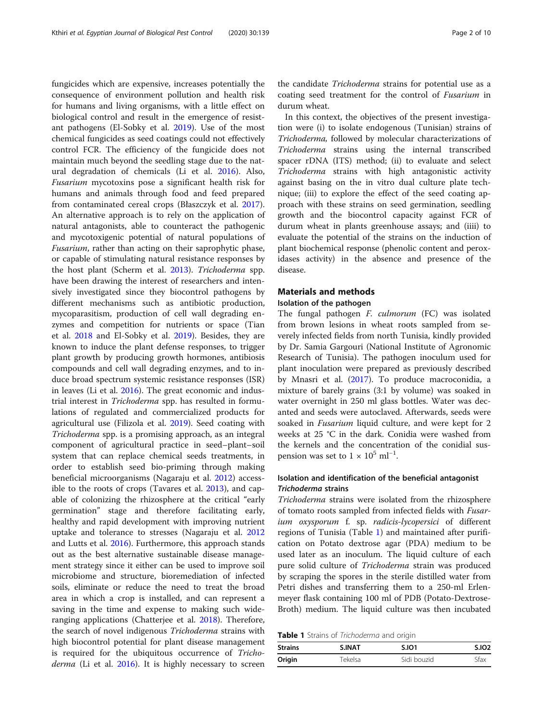fungicides which are expensive, increases potentially the consequence of environment pollution and health risk for humans and living organisms, with a little effect on biological control and result in the emergence of resistant pathogens (El-Sobky et al. [2019](#page-9-0)). Use of the most chemical fungicides as seed coatings could not effectively control FCR. The efficiency of the fungicide does not maintain much beyond the seedling stage due to the natural degradation of chemicals (Li et al. [2016\)](#page-9-0). Also, Fusarium mycotoxins pose a significant health risk for humans and animals through food and feed prepared from contaminated cereal crops (Błaszczyk et al. [2017](#page-9-0)). An alternative approach is to rely on the application of natural antagonists, able to counteract the pathogenic and mycotoxigenic potential of natural populations of Fusarium, rather than acting on their saprophytic phase, or capable of stimulating natural resistance responses by the host plant (Scherm et al. [2013\)](#page-9-0). Trichoderma spp. have been drawing the interest of researchers and intensively investigated since they biocontrol pathogens by different mechanisms such as antibiotic production, mycoparasitism, production of cell wall degrading enzymes and competition for nutrients or space (Tian et al. [2018](#page-9-0) and El-Sobky et al. [2019\)](#page-9-0). Besides, they are known to induce the plant defense responses, to trigger plant growth by producing growth hormones, antibiosis compounds and cell wall degrading enzymes, and to induce broad spectrum systemic resistance responses (ISR) in leaves (Li et al. [2016](#page-9-0)). The great economic and industrial interest in Trichoderma spp. has resulted in formulations of regulated and commercialized products for agricultural use (Filizola et al. [2019](#page-9-0)). Seed coating with Trichoderma spp. is a promising approach, as an integral component of agricultural practice in seed–plant–soil system that can replace chemical seeds treatments, in order to establish seed bio-priming through making beneficial microorganisms (Nagaraju et al. [2012](#page-9-0)) accessible to the roots of crops (Tavares et al. [2013\)](#page-9-0), and capable of colonizing the rhizosphere at the critical "early germination" stage and therefore facilitating early, healthy and rapid development with improving nutrient uptake and tolerance to stresses (Nagaraju et al. [2012](#page-9-0) and Lutts et al. [2016\)](#page-9-0). Furthermore, this approach stands out as the best alternative sustainable disease management strategy since it either can be used to improve soil microbiome and structure, bioremediation of infected soils, eliminate or reduce the need to treat the broad area in which a crop is installed, and can represent a saving in the time and expense to making such wideranging applications (Chatterjee et al. [2018\)](#page-9-0). Therefore, the search of novel indigenous Trichoderma strains with high biocontrol potential for plant disease management is required for the ubiquitous occurrence of Tricho-derma (Li et al. [2016](#page-9-0)). It is highly necessary to screen

the candidate Trichoderma strains for potential use as a coating seed treatment for the control of Fusarium in durum wheat.

In this context, the objectives of the present investigation were (i) to isolate endogenous (Tunisian) strains of Trichoderma, followed by molecular characterizations of Trichoderma strains using the internal transcribed spacer rDNA (ITS) method; (ii) to evaluate and select Trichoderma strains with high antagonistic activity against basing on the in vitro dual culture plate technique; (iii) to explore the effect of the seed coating approach with these strains on seed germination, seedling growth and the biocontrol capacity against FCR of durum wheat in plants greenhouse assays; and (iiii) to evaluate the potential of the strains on the induction of plant biochemical response (phenolic content and peroxidases activity) in the absence and presence of the disease.

## Materials and methods

## Isolation of the pathogen

The fungal pathogen *F. culmorum* (FC) was isolated from brown lesions in wheat roots sampled from severely infected fields from north Tunisia, kindly provided by Dr. Samia Gargouri (National Institute of Agronomic Research of Tunisia). The pathogen inoculum used for plant inoculation were prepared as previously described by Mnasri et al. ([2017](#page-9-0)). To produce macroconidia, a mixture of barely grains (3:1 by volume) was soaked in water overnight in 250 ml glass bottles. Water was decanted and seeds were autoclaved. Afterwards, seeds were soaked in Fusarium liquid culture, and were kept for 2 weeks at 25 °C in the dark. Conidia were washed from the kernels and the concentration of the conidial suspension was set to  $1 \times 10^5$  ml<sup>-1</sup>.

## Isolation and identification of the beneficial antagonist Trichoderma strains

Trichoderma strains were isolated from the rhizosphere of tomato roots sampled from infected fields with Fusarium oxysporum f. sp. radicis-lycopersici of different regions of Tunisia (Table 1) and maintained after purification on Potato dextrose agar (PDA) medium to be used later as an inoculum. The liquid culture of each pure solid culture of Trichoderma strain was produced by scraping the spores in the sterile distilled water from Petri dishes and transferring them to a 250-ml Erlenmeyer flask containing 100 ml of PDB (Potato-Dextrose-Broth) medium. The liquid culture was then incubated

Table 1 Strains of Trichoderma and origin

| <b>Strains</b> | <b>S.INAT</b> | <b>S.IO1</b> | S.IO <sub>2</sub> |
|----------------|---------------|--------------|-------------------|
| Origin         | Tekelsa       | Sidi bouzid  | Sfax              |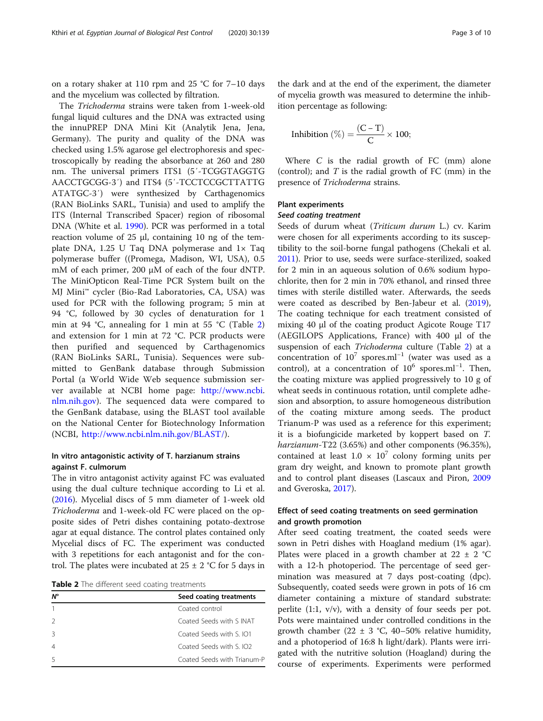on a rotary shaker at 110 rpm and 25 °C for 7–10 days and the mycelium was collected by filtration.

The Trichoderma strains were taken from 1-week-old fungal liquid cultures and the DNA was extracted using the innuPREP DNA Mini Kit (Analytik Jena, Jena, Germany). The purity and quality of the DNA was checked using 1.5% agarose gel electrophoresis and spectroscopically by reading the absorbance at 260 and 280 nm. The universal primers ITS1 (5′-TCGGTAGGTG AACCTGCGG-3′) and ITS4 (5′-TCCTCCGCTTATTG ATATGC-3′) were synthesized by Carthagenomics (RAN BioLinks SARL, Tunisia) and used to amplify the ITS (Internal Transcribed Spacer) region of ribosomal DNA (White et al. [1990](#page-9-0)). PCR was performed in a total reaction volume of 25 μl, containing 10 ng of the template DNA, 1.25 U Taq DNA polymerase and 1× Taq polymerase buffer ((Promega, Madison, WI, USA), 0.5 mM of each primer, 200 μM of each of the four dNTP. The MiniOpticon Real-Time PCR System built on the MJ Mini™ cycler (Bio-Rad Laboratories, CA, USA) was used for PCR with the following program; 5 min at 94 °C, followed by 30 cycles of denaturation for 1 min at 94 °C, annealing for 1 min at 55 °C (Table 2) and extension for 1 min at 72 °C. PCR products were then purified and sequenced by Carthagenomics (RAN BioLinks SARL, Tunisia). Sequences were submitted to GenBank database through Submission Portal (a World Wide Web sequence submission server available at NCBI home page: <http://www.ncbi>. [nlm.nih.gov\)](http://nlm.nih.gov). The sequenced data were compared to the GenBank database, using the BLAST tool available on the National Center for Biotechnology Information (NCBI, <http://www.ncbi.nlm.nih.gov/BLAST/>).

## In vitro antagonistic activity of T. harzianum strains against F. culmorum

The in vitro antagonist activity against FC was evaluated using the dual culture technique according to Li et al. ([2016](#page-9-0)). Mycelial discs of 5 mm diameter of 1-week old Trichoderma and 1-week-old FC were placed on the opposite sides of Petri dishes containing potato-dextrose agar at equal distance. The control plates contained only Mycelial discs of FC. The experiment was conducted with 3 repetitions for each antagonist and for the control. The plates were incubated at  $25 \pm 2$  °C for 5 days in

Table 2 The different seed coating treatments

| $N^{\circ}$ | Seed coating treatments             |  |
|-------------|-------------------------------------|--|
|             | Coated control                      |  |
|             | Coated Seeds with S INAT            |  |
|             | Coated Seeds with S. IO1            |  |
|             | Coated Seeds with S IO <sub>2</sub> |  |
|             | Coated Seeds with Trianum-P         |  |

the dark and at the end of the experiment, the diameter of mycelia growth was measured to determine the inhibition percentage as following:

$$
Inhibition\ (\%) = \frac{(C-T)}{C} \times 100;
$$

Where C is the radial growth of FC (mm) alone (control); and  $T$  is the radial growth of  $FC$  (mm) in the presence of Trichoderma strains.

#### Plant experiments

#### Seed coating treatment

Seeds of durum wheat (Triticum durum L.) cv. Karim were chosen for all experiments according to its susceptibility to the soil-borne fungal pathogens (Chekali et al. [2011](#page-9-0)). Prior to use, seeds were surface-sterilized, soaked for 2 min in an aqueous solution of 0.6% sodium hypochlorite, then for 2 min in 70% ethanol, and rinsed three times with sterile distilled water. Afterwards, the seeds were coated as described by Ben-Jabeur et al. ([2019](#page-9-0)), The coating technique for each treatment consisted of mixing 40 μl of the coating product Agicote Rouge T17 (AEGILOPS Applications, France) with 400 μl of the suspension of each Trichoderma culture (Table 2) at a concentration of  $10^7$  spores.ml<sup>-1</sup> (water was used as a control), at a concentration of 10<sup>6</sup> spores.ml<sup>-1</sup>. Then, the coating mixture was applied progressively to 10 g of wheat seeds in continuous rotation, until complete adhesion and absorption, to assure homogeneous distribution of the coating mixture among seeds. The product Trianum-P was used as a reference for this experiment; it is a biofungicide marketed by koppert based on T. harzianum-T22 (3.65%) and other components (96.35%), contained at least  $1.0 \times 10^7$  colony forming units per gram dry weight, and known to promote plant growth and to control plant diseases (Lascaux and Piron, [2009](#page-9-0) and Gveroska, [2017](#page-9-0)).

#### Effect of seed coating treatments on seed germination and growth promotion

After seed coating treatment, the coated seeds were sown in Petri dishes with Hoagland medium (1% agar). Plates were placed in a growth chamber at  $22 \pm 2$  °C with a 12-h photoperiod. The percentage of seed germination was measured at 7 days post-coating (dpc). Subsequently, coated seeds were grown in pots of 16 cm diameter containing a mixture of standard substrate: perlite (1:1, v/v), with a density of four seeds per pot. Pots were maintained under controlled conditions in the growth chamber (22  $\pm$  3 °C, 40–50% relative humidity, and a photoperiod of 16:8 h light/dark). Plants were irrigated with the nutritive solution (Hoagland) during the course of experiments. Experiments were performed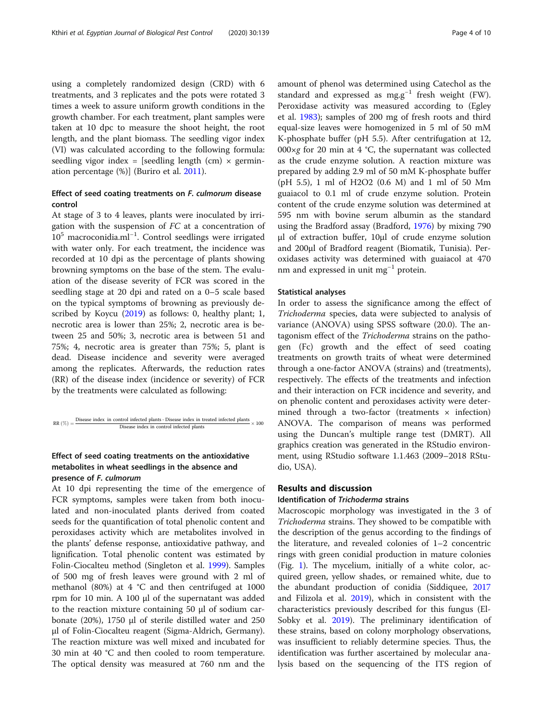using a completely randomized design (CRD) with 6 treatments, and 3 replicates and the pots were rotated 3 times a week to assure uniform growth conditions in the growth chamber. For each treatment, plant samples were taken at 10 dpc to measure the shoot height, the root length, and the plant biomass. The seedling vigor index (VI) was calculated according to the following formula: seedling vigor index = [seedling length  $(cm) \times germin$ ation percentage (%)] (Buriro et al. [2011](#page-9-0)).

## Effect of seed coating treatments on F. culmorum disease control

At stage of 3 to 4 leaves, plants were inoculated by irrigation with the suspension of FC at a concentration of 10<sup>5</sup> macroconidia.ml−<sup>1</sup> . Control seedlings were irrigated with water only. For each treatment, the incidence was recorded at 10 dpi as the percentage of plants showing browning symptoms on the base of the stem. The evaluation of the disease severity of FCR was scored in the seedling stage at 20 dpi and rated on a 0–5 scale based on the typical symptoms of browning as previously de-scribed by Koycu ([2019](#page-9-0)) as follows: 0, healthy plant; 1, necrotic area is lower than 25%; 2, necrotic area is between 25 and 50%; 3, necrotic area is between 51 and 75%; 4, necrotic area is greater than 75%; 5, plant is dead. Disease incidence and severity were averaged among the replicates. Afterwards, the reduction rates (RR) of the disease index (incidence or severity) of FCR by the treatments were calculated as following:

$$
\text{RR } (\%) = \frac{\text{Disease index in control infected plants - Disease index in treated infected plants}}{\text{Disease index in control infected plants}} \times 100
$$

## Effect of seed coating treatments on the antioxidative metabolites in wheat seedlings in the absence and presence of F. culmorum

At 10 dpi representing the time of the emergence of FCR symptoms, samples were taken from both inoculated and non-inoculated plants derived from coated seeds for the quantification of total phenolic content and peroxidases activity which are metabolites involved in the plants' defense response, antioxidative pathway, and lignification. Total phenolic content was estimated by Folin-Ciocalteu method (Singleton et al. [1999\)](#page-9-0). Samples of 500 mg of fresh leaves were ground with 2 ml of methanol (80%) at 4 °C and then centrifuged at 1000 rpm for 10 min. A 100 μl of the supernatant was added to the reaction mixture containing 50 μl of sodium carbonate (20%), 1750 μl of sterile distilled water and 250 μl of Folin-Ciocalteu reagent (Sigma-Aldrich, Germany). The reaction mixture was well mixed and incubated for 30 min at 40 °C and then cooled to room temperature. The optical density was measured at 760 nm and the

amount of phenol was determined using Catechol as the standard and expressed as mg.g<sup>-1</sup> fresh weight (FW). Peroxidase activity was measured according to (Egley et al. [1983](#page-9-0)); samples of 200 mg of fresh roots and third equal-size leaves were homogenized in 5 ml of 50 mM K-phosphate buffer (pH 5.5). After centrifugation at 12, 000 $\times$ g for 20 min at 4 °C, the supernatant was collected as the crude enzyme solution. A reaction mixture was prepared by adding 2.9 ml of 50 mM K-phosphate buffer (pH 5.5), 1 ml of H2O2 (0.6 M) and 1 ml of 50 Mm guaiacol to 0.1 ml of crude enzyme solution. Protein content of the crude enzyme solution was determined at 595 nm with bovine serum albumin as the standard using the Bradford assay (Bradford, [1976](#page-9-0)) by mixing 790 μl of extraction buffer, 10μl of crude enzyme solution and 200μl of Bradford reagent (Biomatik, Tunisia). Peroxidases activity was determined with guaiacol at 470 nm and expressed in unit mg<sup>-1</sup> protein.

#### Statistical analyses

In order to assess the significance among the effect of Trichoderma species, data were subjected to analysis of variance (ANOVA) using SPSS software (20.0). The antagonism effect of the Trichoderma strains on the pathogen (Fc) growth and the effect of seed coating treatments on growth traits of wheat were determined through a one-factor ANOVA (strains) and (treatments), respectively. The effects of the treatments and infection and their interaction on FCR incidence and severity, and on phenolic content and peroxidases activity were determined through a two-factor (treatments  $\times$  infection) ANOVA. The comparison of means was performed using the Duncan's multiple range test (DMRT). All graphics creation was generated in the RStudio environment, using RStudio software 1.1.463 (2009–2018 RStudio, USA).

## Results and discussion

#### Identification of Trichoderma strains

Macroscopic morphology was investigated in the 3 of Trichoderma strains. They showed to be compatible with the description of the genus according to the findings of the literature, and revealed colonies of 1–2 concentric rings with green conidial production in mature colonies (Fig. [1\)](#page-4-0). The mycelium, initially of a white color, acquired green, yellow shades, or remained white, due to the abundant production of conidia (Siddiquee, [2017](#page-9-0) and Filizola et al. [2019\)](#page-9-0), which in consistent with the characteristics previously described for this fungus (El-Sobky et al. [2019\)](#page-9-0). The preliminary identification of these strains, based on colony morphology observations, was insufficient to reliably determine species. Thus, the identification was further ascertained by molecular analysis based on the sequencing of the ITS region of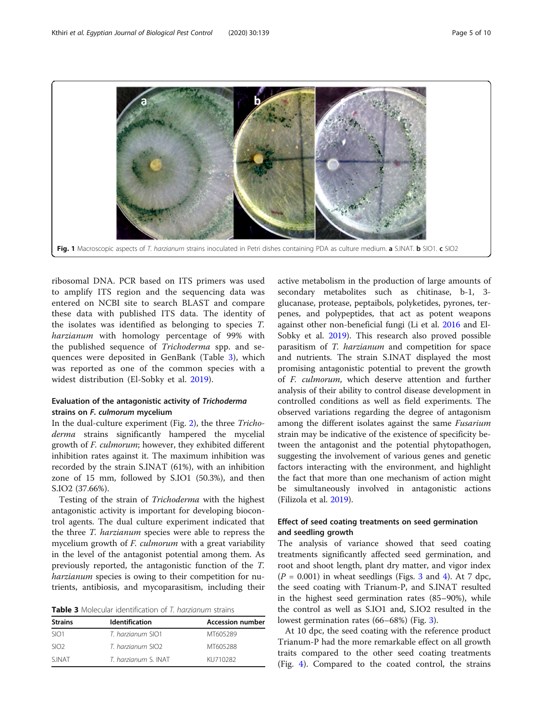<span id="page-4-0"></span>

ribosomal DNA. PCR based on ITS primers was used to amplify ITS region and the sequencing data was entered on NCBI site to search BLAST and compare these data with published ITS data. The identity of the isolates was identified as belonging to species T. harzianum with homology percentage of 99% with the published sequence of Trichoderma spp. and sequences were deposited in GenBank (Table 3), which was reported as one of the common species with a widest distribution (El-Sobky et al. [2019\)](#page-9-0).

## Evaluation of the antagonistic activity of Trichoderma strains on F. culmorum mycelium

In the dual-culture experiment (Fig. [2](#page-5-0)), the three Trichoderma strains significantly hampered the mycelial growth of F. culmorum; however, they exhibited different inhibition rates against it. The maximum inhibition was recorded by the strain S.INAT (61%), with an inhibition zone of 15 mm, followed by S.IO1 (50.3%), and then S.IO2 (37.66%).

Testing of the strain of Trichoderma with the highest antagonistic activity is important for developing biocontrol agents. The dual culture experiment indicated that the three T. harzianum species were able to repress the mycelium growth of F. culmorum with a great variability in the level of the antagonist potential among them. As previously reported, the antagonistic function of the T. harzianum species is owing to their competition for nutrients, antibiosis, and mycoparasitism, including their

Table 3 Molecular identification of T. harzianum strains

| <b>Strains</b>   | <b>Identification</b> | <b>Accession number</b> |
|------------------|-----------------------|-------------------------|
| SIO <sub>1</sub> | T. harzianum SIO1     | MT605289                |
| SIO <sub>2</sub> | T. harzianum SIO2     | MT605288                |
| <b>SINAT</b>     | T. harzianum S. INAT  | KU710282                |

active metabolism in the production of large amounts of secondary metabolites such as chitinase, b-1, 3 glucanase, protease, peptaibols, polyketides, pyrones, terpenes, and polypeptides, that act as potent weapons against other non-beneficial fungi (Li et al. [2016](#page-9-0) and El-Sobky et al. [2019](#page-9-0)). This research also proved possible parasitism of T. harzianum and competition for space and nutrients. The strain S.INAT displayed the most promising antagonistic potential to prevent the growth of F. culmorum, which deserve attention and further analysis of their ability to control disease development in controlled conditions as well as field experiments. The observed variations regarding the degree of antagonism among the different isolates against the same Fusarium strain may be indicative of the existence of specificity between the antagonist and the potential phytopathogen, suggesting the involvement of various genes and genetic factors interacting with the environment, and highlight the fact that more than one mechanism of action might be simultaneously involved in antagonistic actions (Filizola et al. [2019](#page-9-0)).

## Effect of seed coating treatments on seed germination and seedling growth

The analysis of variance showed that seed coating treatments significantly affected seed germination, and root and shoot length, plant dry matter, and vigor index  $(P = 0.001)$  in wheat seedlings (Figs. [3](#page-5-0) and [4\)](#page-6-0). At 7 dpc, the seed coating with Trianum-P, and S.INAT resulted in the highest seed germination rates (85–90%), while the control as well as S.IO1 and, S.IO2 resulted in the lowest germination rates (66–68%) (Fig. [3\)](#page-5-0).

At 10 dpc, the seed coating with the reference product Trianum-P had the more remarkable effect on all growth traits compared to the other seed coating treatments (Fig. [4\)](#page-6-0). Compared to the coated control, the strains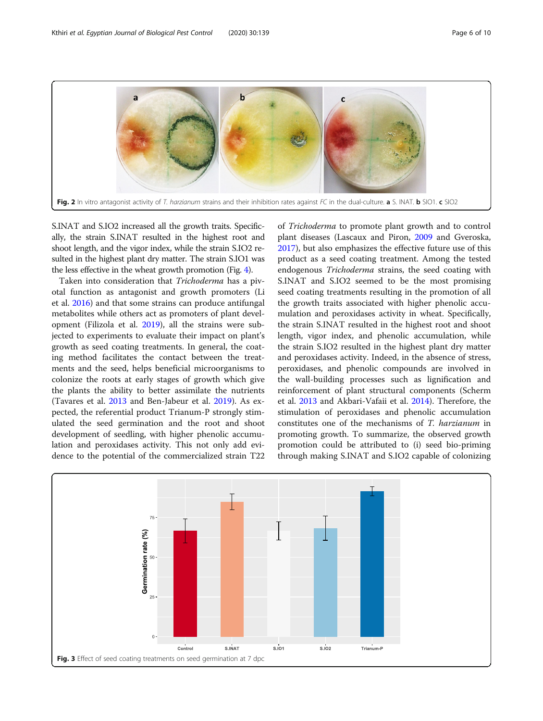<span id="page-5-0"></span>

S.INAT and S.IO2 increased all the growth traits. Specifically, the strain S.INAT resulted in the highest root and shoot length, and the vigor index, while the strain S.IO2 resulted in the highest plant dry matter. The strain S.IO1 was the less effective in the wheat growth promotion (Fig. [4\)](#page-6-0).

Taken into consideration that Trichoderma has a pivotal function as antagonist and growth promoters (Li et al. [2016\)](#page-9-0) and that some strains can produce antifungal metabolites while others act as promoters of plant development (Filizola et al. [2019\)](#page-9-0), all the strains were subjected to experiments to evaluate their impact on plant's growth as seed coating treatments. In general, the coating method facilitates the contact between the treatments and the seed, helps beneficial microorganisms to colonize the roots at early stages of growth which give the plants the ability to better assimilate the nutrients (Tavares et al. [2013](#page-9-0) and Ben-Jabeur et al. [2019](#page-9-0)). As expected, the referential product Trianum-P strongly stimulated the seed germination and the root and shoot development of seedling, with higher phenolic accumulation and peroxidases activity. This not only add evidence to the potential of the commercialized strain T22 of Trichoderma to promote plant growth and to control plant diseases (Lascaux and Piron, [2009](#page-9-0) and Gveroska, [2017](#page-9-0)), but also emphasizes the effective future use of this product as a seed coating treatment. Among the tested endogenous Trichoderma strains, the seed coating with S.INAT and S.IO2 seemed to be the most promising seed coating treatments resulting in the promotion of all the growth traits associated with higher phenolic accumulation and peroxidases activity in wheat. Specifically, the strain S.INAT resulted in the highest root and shoot length, vigor index, and phenolic accumulation, while the strain S.IO2 resulted in the highest plant dry matter and peroxidases activity. Indeed, in the absence of stress, peroxidases, and phenolic compounds are involved in the wall-building processes such as lignification and reinforcement of plant structural components (Scherm et al. [2013](#page-9-0) and Akbari-Vafaii et al. [2014](#page-8-0)). Therefore, the stimulation of peroxidases and phenolic accumulation constitutes one of the mechanisms of T. harzianum in promoting growth. To summarize, the observed growth promotion could be attributed to (i) seed bio-priming through making S.INAT and S.IO2 capable of colonizing

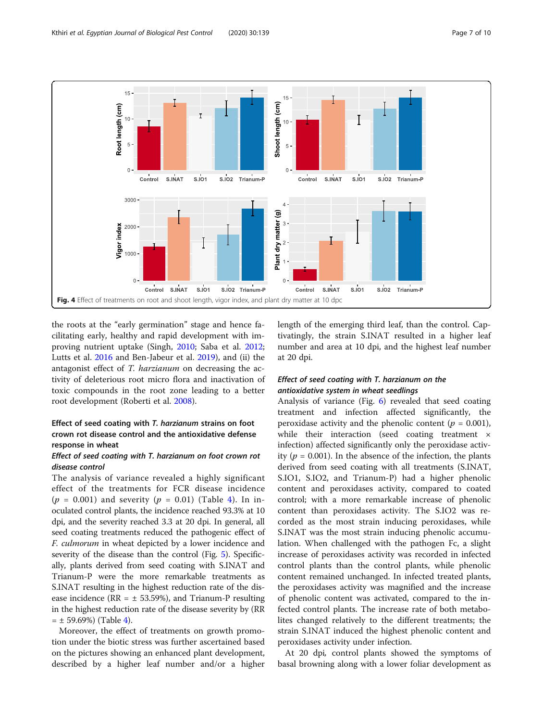<span id="page-6-0"></span>

the roots at the "early germination" stage and hence facilitating early, healthy and rapid development with improving nutrient uptake (Singh, [2010;](#page-9-0) Saba et al. [2012](#page-9-0); Lutts et al. [2016](#page-9-0) and Ben-Jabeur et al. [2019](#page-9-0)), and (ii) the antagonist effect of T. harzianum on decreasing the activity of deleterious root micro flora and inactivation of toxic compounds in the root zone leading to a better root development (Roberti et al. [2008\)](#page-9-0).

## Effect of seed coating with T. harzianum strains on foot crown rot disease control and the antioxidative defense response in wheat

## Effect of seed coating with T. harzianum on foot crown rot disease control

The analysis of variance revealed a highly significant effect of the treatments for FCR disease incidence  $(p = 0.001)$  and severity  $(p = 0.01)$  (Table [4\)](#page-7-0). In inoculated control plants, the incidence reached 93.3% at 10 dpi, and the severity reached 3.3 at 20 dpi. In general, all seed coating treatments reduced the pathogenic effect of F. culmorum in wheat depicted by a lower incidence and severity of the disease than the control (Fig. [5](#page-7-0)). Specifically, plants derived from seed coating with S.INAT and Trianum-P were the more remarkable treatments as S.INAT resulting in the highest reduction rate of the disease incidence ( $RR = ± 53.59$ %), and Trianum-P resulting in the highest reduction rate of the disease severity by (RR  $= \pm 59.69\%$ ) (Table [4](#page-7-0)).

Moreover, the effect of treatments on growth promotion under the biotic stress was further ascertained based on the pictures showing an enhanced plant development, described by a higher leaf number and/or a higher length of the emerging third leaf, than the control. Captivatingly, the strain S.INAT resulted in a higher leaf number and area at 10 dpi, and the highest leaf number at 20 dpi.

## Effect of seed coating with T. harzianum on the antioxidative system in wheat seedlings

Analysis of variance (Fig. [6\)](#page-8-0) revealed that seed coating treatment and infection affected significantly, the peroxidase activity and the phenolic content ( $p = 0.001$ ), while their interaction (seed coating treatment  $\times$ infection) affected significantly only the peroxidase activity ( $p = 0.001$ ). In the absence of the infection, the plants derived from seed coating with all treatments (S.INAT, S.IO1, S.IO2, and Trianum-P) had a higher phenolic content and peroxidases activity, compared to coated control; with a more remarkable increase of phenolic content than peroxidases activity. The S.IO2 was recorded as the most strain inducing peroxidases, while S.INAT was the most strain inducing phenolic accumulation. When challenged with the pathogen Fc, a slight increase of peroxidases activity was recorded in infected control plants than the control plants, while phenolic content remained unchanged. In infected treated plants, the peroxidases activity was magnified and the increase of phenolic content was activated, compared to the infected control plants. The increase rate of both metabolites changed relatively to the different treatments; the strain S.INAT induced the highest phenolic content and peroxidases activity under infection.

At 20 dpi, control plants showed the symptoms of basal browning along with a lower foliar development as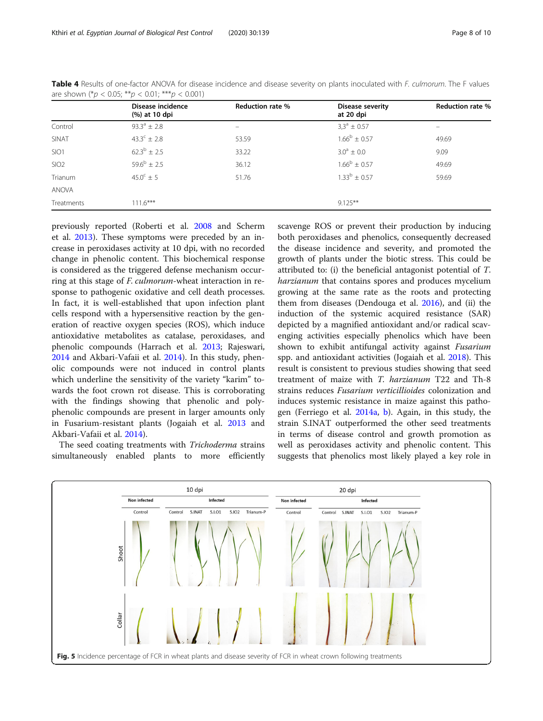|                  | Disease incidence<br>(%) at 10 dpi | Reduction rate %         | Disease severity<br>at 20 dpi | <b>Reduction rate %</b>  |
|------------------|------------------------------------|--------------------------|-------------------------------|--------------------------|
| Control          | $93.3^{\circ} \pm 2.8$             | $\overline{\phantom{0}}$ | $3.3^{\circ} \pm 0.57$        | $\overline{\phantom{0}}$ |
| SINAT            | $43.3^{\circ} \pm 2.8$             | 53.59                    | $1.66^b \pm 0.57$             | 49.69                    |
| SIO <sub>1</sub> | $62.3^b \pm 2.5$                   | 33.22                    | $3.0^{\circ} \pm 0.0$         | 9.09                     |
| SIO <sub>2</sub> | $59.6^{\rm b} \pm 2.5$             | 36.12                    | $1.66^{\rm b} \pm 0.57$       | 49.69                    |
| Trianum          | $45.0^{\circ} \pm 5$               | 51.76                    | $1.33^b \pm 0.57$             | 59.69                    |
| <b>ANOVA</b>     |                                    |                          |                               |                          |
| Treatments       | $111.6***$                         |                          | $9.125***$                    |                          |

<span id="page-7-0"></span>Table 4 Results of one-factor ANOVA for disease incidence and disease severity on plants inoculated with F. culmorum. The F values are shown  $(^*p < 0.05; ^{**}p < 0.01; ^{***}p < 0.001)$ 

previously reported (Roberti et al. [2008](#page-9-0) and Scherm et al. [2013\)](#page-9-0). These symptoms were preceded by an increase in peroxidases activity at 10 dpi, with no recorded change in phenolic content. This biochemical response is considered as the triggered defense mechanism occurring at this stage of F. culmorum-wheat interaction in response to pathogenic oxidative and cell death processes. In fact, it is well-established that upon infection plant cells respond with a hypersensitive reaction by the generation of reactive oxygen species (ROS), which induce antioxidative metabolites as catalase, peroxidases, and phenolic compounds (Harrach et al. [2013;](#page-9-0) Rajeswari, [2014](#page-9-0) and Akbari-Vafaii et al. [2014\)](#page-8-0). In this study, phenolic compounds were not induced in control plants which underline the sensitivity of the variety "karim" towards the foot crown rot disease. This is corroborating with the findings showing that phenolic and polyphenolic compounds are present in larger amounts only in Fusarium-resistant plants (Jogaiah et al. [2013](#page-9-0) and Akbari-Vafaii et al. [2014\)](#page-8-0).

The seed coating treatments with Trichoderma strains simultaneously enabled plants to more efficiently scavenge ROS or prevent their production by inducing both peroxidases and phenolics, consequently decreased the disease incidence and severity, and promoted the growth of plants under the biotic stress. This could be attributed to: (i) the beneficial antagonist potential of T. harzianum that contains spores and produces mycelium growing at the same rate as the roots and protecting them from diseases (Dendouga et al. [2016](#page-9-0)), and (ii) the induction of the systemic acquired resistance (SAR) depicted by a magnified antioxidant and/or radical scavenging activities especially phenolics which have been shown to exhibit antifungal activity against Fusarium spp. and antioxidant activities (Jogaiah et al. [2018\)](#page-9-0). This result is consistent to previous studies showing that seed treatment of maize with T. harzianum T22 and Th-8 strains reduces Fusarium verticillioides colonization and induces systemic resistance in maize against this pathogen (Ferriego et al. [2014a](#page-9-0), [b\)](#page-9-0). Again, in this study, the strain S.INAT outperformed the other seed treatments in terms of disease control and growth promotion as well as peroxidases activity and phenolic content. This suggests that phenolics most likely played a key role in

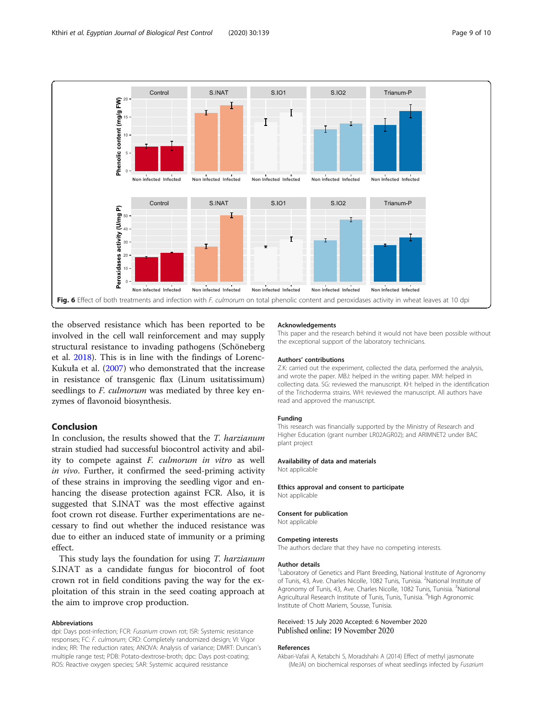<span id="page-8-0"></span>

the observed resistance which has been reported to be involved in the cell wall reinforcement and may supply structural resistance to invading pathogens (Schöneberg et al. [2018\)](#page-9-0). This is in line with the findings of Lorenc-Kukuła et al. ([2007](#page-9-0)) who demonstrated that the increase in resistance of transgenic flax (Linum usitatissimum) seedlings to *F. culmorum* was mediated by three key enzymes of flavonoid biosynthesis.

## Conclusion

In conclusion, the results showed that the T. harzianum strain studied had successful biocontrol activity and ability to compete against F. culmorum in vitro as well in vivo. Further, it confirmed the seed-priming activity of these strains in improving the seedling vigor and enhancing the disease protection against FCR. Also, it is suggested that S.INAT was the most effective against foot crown rot disease. Further experimentations are necessary to find out whether the induced resistance was due to either an induced state of immunity or a priming effect.

This study lays the foundation for using T. *harzianum* S.INAT as a candidate fungus for biocontrol of foot crown rot in field conditions paving the way for the exploitation of this strain in the seed coating approach at the aim to improve crop production.

#### Abbreviations

dpi: Days post-infection; FCR: Fusarium crown rot; ISR: Systemic resistance responses; FC: F. culmorum; CRD: Completely randomized design; VI: Vigor index; RR: The reduction rates; ANOVA: Analysis of variance; DMRT: Duncan's multiple range test; PDB: Potato-dextrose-broth; dpc: Days post-coating; ROS: Reactive oxygen species; SAR: Systemic acquired resistance

#### Acknowledgements

This paper and the research behind it would not have been possible without the exceptional support of the laboratory technicians.

#### Authors' contributions

Z.K: carried out the experiment, collected the data, performed the analysis, and wrote the paper. MBJ: helped in the writing paper. MM: helped in collecting data. SG: reviewed the manuscript. KH: helped in the identification of the Trichoderma strains. WH: reviewed the manuscript. All authors have read and approved the manuscript.

#### Funding

This research was financially supported by the Ministry of Research and Higher Education (grant number LR02AGR02); and ARIMNET2 under BAC plant project

#### Availability of data and materials

Not applicable

Ethics approval and consent to participate Not applicable

#### Consent for publication

Not applicable

#### Competing interests

The authors declare that they have no competing interests.

#### Author details

<sup>1</sup> Laboratory of Genetics and Plant Breeding, National Institute of Agronomy of Tunis, 43, Ave. Charles Nicolle, 1082 Tunis, Tunisia. <sup>2</sup>National Institute of Agronomy of Tunis, 43, Ave. Charles Nicolle, 1082 Tunis, Tunisia. <sup>3</sup>National Agricultural Research Institute of Tunis, Tunis, Tunisia. <sup>4</sup>High Agronomic Institute of Chott Mariem, Sousse, Tunisia.

## Received: 15 July 2020 Accepted: 6 November 2020

#### References

Akbari-Vafaii A, Ketabchi S, Moradshahi A (2014) Effect of methyl jasmonate (MeJA) on biochemical responses of wheat seedlings infected by Fusarium